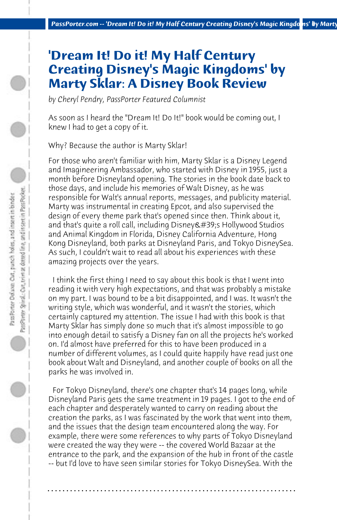## **'Dream It! Do it! My Half Century Creating Disney's Magic Kingdoms' by Marty Sklar: A Disney Book Review**

*by Cheryl Pendry, PassPorter Featured Columnist*

As soon as I heard the "Dream It! Do It!" book would be coming out, I knew I had to get a copy of it.

Why? Because the author is Marty Sklar!

For those who aren't familiar with him, Marty Sklar is a Disney Legend and Imagineering Ambassador, who started with Disney in 1955, just a month before Disneyland opening. The stories in the book date back to those days, and include his memories of Walt Disney, as he was responsible for Walt's annual reports, messages, and publicity material. Marty was instrumental in creating Epcot, and also supervised the design of every theme park that's opened since then. Think about it, and that's quite a roll call, including Disney's Hollywood Studios and Animal Kingdom in Florida, Disney California Adventure, Hong Kong Disneyland, both parks at Disneyland Paris, and Tokyo DisneySea. As such, I couldn't wait to read all about his experiences with these amazing projects over the years.

 I think the first thing I need to say about this book is that I went into reading it with very high expectations, and that was probably a mistake on my part. I was bound to be a bit disappointed, and I was. It wasn't the writing style, which was wonderful, and it wasn't the stories, which certainly captured my attention. The issue I had with this book is that Marty Sklar has simply done so much that it's almost impossible to go into enough detail to satisfy a Disney fan on all the projects he's worked on. I'd almost have preferred for this to have been produced in a number of different volumes, as I could quite happily have read just one book about Walt and Disneyland, and another couple of books on all the parks he was involved in.

 For Tokyo Disneyland, there's one chapter that's 14 pages long, while Disneyland Paris gets the same treatment in 19 pages. I got to the end of each chapter and desperately wanted to carry on reading about the creation the parks, as I was fascinated by the work that went into them, and the issues that the design team encountered along the way. For example, there were some references to why parts of Tokyo Disneyland were created the way they were -- the covered World Bazaar at the entrance to the park, and the expansion of the hub in front of the castle -- but I'd love to have seen similar stories for Tokyo DisneySea. With the

**. . . . . . . . . . . . . . . . . . . . . . . . . . . . . . . . . . . . . . . . . . . . . . . . . . . . . . . . . . . . . . . . . .**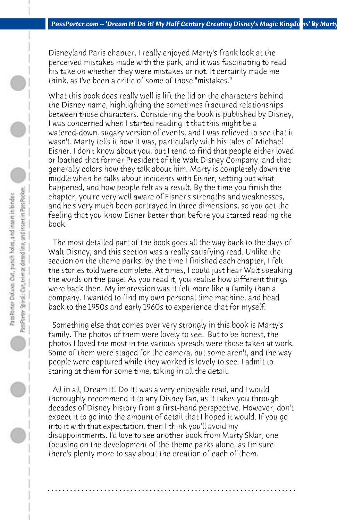Disneyland Paris chapter, I really enjoyed Marty's frank look at the perceived mistakes made with the park, and it was fascinating to read his take on whether they were mistakes or not. It certainly made me think, as I've been a critic of some of those "mistakes."

What this book does really well is lift the lid on the characters behind the Disney name, highlighting the sometimes fractured relationships between those characters. Considering the book is published by Disney, I was concerned when I started reading it that this might be a watered-down, sugary version of events, and I was relieved to see that it wasn't. Marty tells it how it was, particularly with his tales of Michael Eisner. I don't know about you, but I tend to find that people either loved or loathed that former President of the Walt Disney Company, and that generally colors how they talk about him. Marty is completely down the middle when he talks about incidents with Eisner, setting out what happened, and how people felt as a result. By the time you finish the chapter, you're very well aware of Eisner's strengths and weaknesses, and he's very much been portrayed in three dimensions, so you get the feeling that you know Eisner better than before you started reading the book.

 The most detailed part of the book goes all the way back to the days of Walt Disney, and this section was a really satisfying read. Unlike the section on the theme parks, by the time I finished each chapter, I felt the stories told were complete. At times, I could just hear Walt speaking the words on the page. As you read it, you realise how different things were back then. My impression was it felt more like a family than a company. I wanted to find my own personal time machine, and head back to the 1950s and early 1960s to experience that for myself.

 Something else that comes over very strongly in this book is Marty's family. The photos of them were lovely to see. But to be honest, the photos I loved the most in the various spreads were those taken at work. Some of them were staged for the camera, but some aren't, and the way people were captured while they worked is lovely to see. I admit to staring at them for some time, taking in all the detail.

 All in all, Dream It! Do It! was a very enjoyable read, and I would thoroughly recommend it to any Disney fan, as it takes you through decades of Disney history from a first-hand perspective. However, don't expect it to go into the amount of detail that I hoped it would. If you go into it with that expectation, then I think you'll avoid my disappointments. I'd love to see another book from Marty Sklar, one focusing on the development of the theme parks alone, as I'm sure there's plenty more to say about the creation of each of them.

**. . . . . . . . . . . . . . . . . . . . . . . . . . . . . . . . . . . . . . . . . . . . . . . . . . . . . . . . . . . . . . . . . .**